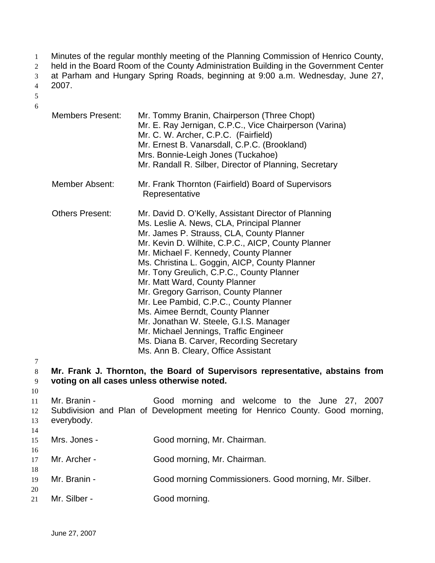- Minutes of the regular monthly meeting of the Planning Commission of Henrico County, 1
- held in the Board Room of the County Administration Building in the Government Center 2
- at Parham and Hungary Spring Roads, beginning at 9:00 a.m. Wednesday, June 27, 3
- 2007. 4
- 5 6

- Members Present: Mr. Tommy Branin, Chairperson (Three Chopt) Mr. E. Ray Jernigan, C.P.C., Vice Chairperson (Varina) Mr. C. W. Archer, C.P.C. (Fairfield) Mr. Ernest B. Vanarsdall, C.P.C. (Brookland) Mrs. Bonnie-Leigh Jones (Tuckahoe) Mr. Randall R. Silber, Director of Planning, Secretary Member Absent: Mr. Frank Thornton (Fairfield) Board of Supervisors Representative Others Present: Mr. David D. O'Kelly, Assistant Director of Planning Ms. Leslie A. News, CLA, Principal Planner Mr. James P. Strauss, CLA, County Planner Mr. Kevin D. Wilhite, C.P.C., AICP, County Planner Mr. Michael F. Kennedy, County Planner Ms. Christina L. Goggin, AICP, County Planner Mr. Tony Greulich, C.P.C., County Planner Mr. Matt Ward, County Planner Mr. Gregory Garrison, County Planner Mr. Lee Pambid, C.P.C., County Planner Ms. Aimee Berndt, County Planner Mr. Jonathan W. Steele, G.I.S. Manager Mr. Michael Jennings, Traffic Engineer Ms. Diana B. Carver, Recording Secretary Ms. Ann B. Cleary, Office Assistant **Mr. Frank J. Thornton, the Board of Supervisors representative, abstains from voting on all cases unless otherwise noted.** Mr. Branin - The Good morning and welcome to the June 27, 2007 Subdivision and Plan of Development meeting for Henrico County. Good morning, everybody. Mrs. Jones - Good morning, Mr. Chairman. Mr. Archer - Good morning, Mr. Chairman.
- 19 20 Mr. Branin - Good morning Commissioners. Good morning, Mr. Silber.
- 21 Mr. Silber - Good morning.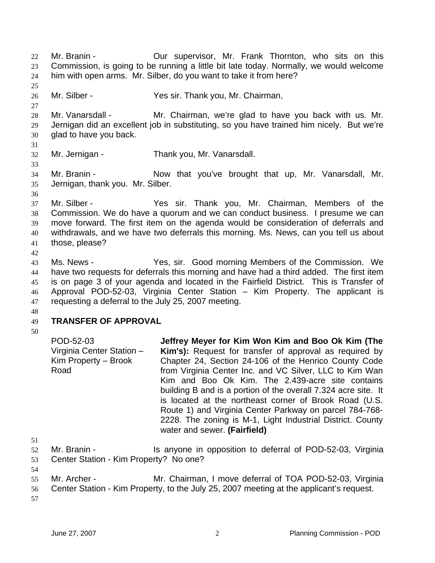Mr. Branin - **Our supervisor, Mr. Frank Thornton, who sits on this** Commission, is going to be running a little bit late today. Normally, we would welcome him with open arms. Mr. Silber, do you want to take it from here? 22 23 24 25 26 27 28 29 30 31 32 33 34 35 36 37 38 39 40 41 42 43 44 45 46 47 48 49 50 51 52 53 54 55 56 57 Mr. Silber - Yes sir. Thank you, Mr. Chairman, Mr. Vanarsdall - Mr. Chairman, we're glad to have you back with us. Mr. Jernigan did an excellent job in substituting, so you have trained him nicely. But we're glad to have you back. Mr. Jernigan - Thank you, Mr. Vanarsdall. Mr. Branin - Now that you've brought that up, Mr. Vanarsdall, Mr. Jernigan, thank you. Mr. Silber. Mr. Silber - Yes sir. Thank you, Mr. Chairman, Members of the Commission. We do have a quorum and we can conduct business. I presume we can move forward. The first item on the agenda would be consideration of deferrals and withdrawals, and we have two deferrals this morning. Ms. News, can you tell us about those, please? Ms. News - Yes, sir. Good morning Members of the Commission. We have two requests for deferrals this morning and have had a third added. The first item is on page 3 of your agenda and located in the Fairfield District. This is Transfer of Approval POD-52-03, Virginia Center Station – Kim Property. The applicant is requesting a deferral to the July 25, 2007 meeting. **TRANSFER OF APPROVAL**  POD-52-03 Virginia Center Station – Kim Property – Brook Road **Jeffrey Meyer for Kim Won Kim and Boo Ok Kim (The Kim's):** Request for transfer of approval as required by Chapter 24, Section 24-106 of the Henrico County Code from Virginia Center Inc. and VC Silver, LLC to Kim Wan Kim and Boo Ok Kim. The 2.439-acre site contains building B and is a portion of the overall 7.324 acre site. It is located at the northeast corner of Brook Road (U.S. Route 1) and Virginia Center Parkway on parcel 784-768- 2228. The zoning is M-1, Light Industrial District. County water and sewer. **(Fairfield)**  Mr. Branin - Is anyone in opposition to deferral of POD-52-03, Virginia Center Station - Kim Property? No one? Mr. Archer - Mr. Chairman, I move deferral of TOA POD-52-03, Virginia Center Station - Kim Property, to the July 25, 2007 meeting at the applicant's request.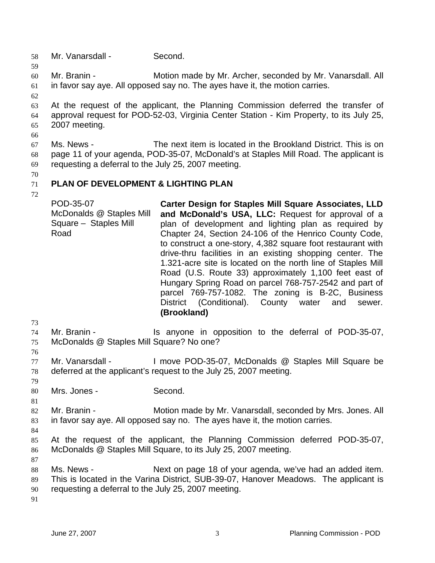- 58 Mr. Vanarsdall Second.
- 60 61 Mr. Branin - **Motion made by Mr. Archer, seconded by Mr. Vanarsdall. All** in favor say aye. All opposed say no. The ayes have it, the motion carries.
- 62

59

63 64 65 At the request of the applicant, the Planning Commission deferred the transfer of approval request for POD-52-03, Virginia Center Station - Kim Property, to its July 25, 2007 meeting.

66

67 68 69 Ms. News - The next item is located in the Brookland District. This is on page 11 of your agenda, POD-35-07, McDonald's at Staples Mill Road. The applicant is requesting a deferral to the July 25, 2007 meeting.

70

#### 71 **PLAN OF DEVELOPMENT & LIGHTING PLAN**

72

POD-35-07 McDonalds @ Staples Mill Square – Staples Mill Road **Carter Design for Staples Mill Square Associates, LLD and McDonald's USA, LLC:** Request for approval of a plan of development and lighting plan as required by Chapter 24, Section 24-106 of the Henrico County Code, to construct a one-story, 4,382 square foot restaurant with drive-thru facilities in an existing shopping center. The 1.321-acre site is located on the north line of Staples Mill Road (U.S. Route 33) approximately 1,100 feet east of Hungary Spring Road on parcel 768-757-2542 and part of parcel 769-757-1082. The zoning is B-2C, Business District (Conditional). County water and sewer. **(Brookland)** 

73

76

74 75 Mr. Branin - The Is anyone in opposition to the deferral of POD-35-07, McDonalds @ Staples Mill Square? No one?

77 78 Mr. Vanarsdall - I move POD-35-07, McDonalds @ Staples Mill Square be deferred at the applicant's request to the July 25, 2007 meeting.

- 79 80
	- Mrs. Jones Second.
- 82 83 Mr. Branin - **Motion made by Mr. Vanarsdall, seconded by Mrs. Jones. All** in favor say aye. All opposed say no. The ayes have it, the motion carries.
- 84

87

- 85 86 At the request of the applicant, the Planning Commission deferred POD-35-07, McDonalds @ Staples Mill Square, to its July 25, 2007 meeting.
- 88 89 90 Ms. News - Next on page 18 of your agenda, we've had an added item. This is located in the Varina District, SUB-39-07, Hanover Meadows. The applicant is requesting a deferral to the July 25, 2007 meeting.
- 91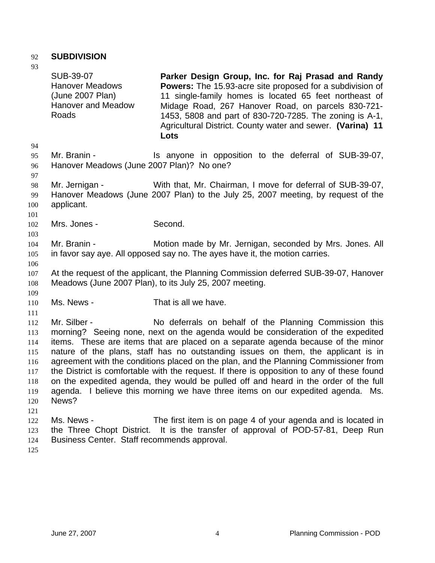# 92 **SUBDIVISION**

93

SUB-39-07 Hanover Meadows (June 2007 Plan) Hanover and Meadow Roads **Parker Design Group, Inc. for Raj Prasad and Randy Powers:** The 15.93-acre site proposed for a subdivision of 11 single-family homes is located 65 feet northeast of Midage Road, 267 Hanover Road, on parcels 830-721- 1453, 5808 and part of 830-720-7285. The zoning is A-1, Agricultural District. County water and sewer. **(Varina) 11 Lots** Mr. Branin - The Is anyone in opposition to the deferral of SUB-39-07, Hanover Meadows (June 2007 Plan)? No one? Mr. Jernigan - With that, Mr. Chairman, I move for deferral of SUB-39-07, Hanover Meadows (June 2007 Plan) to the July 25, 2007 meeting, by request of the applicant. Mrs. Jones - Second. Mr. Branin - **Motion made by Mr. Jernigan, seconded by Mrs. Jones. All** in favor say aye. All opposed say no. The ayes have it, the motion carries. At the request of the applicant, the Planning Commission deferred SUB-39-07, Hanover Meadows (June 2007 Plan), to its July 25, 2007 meeting. Ms. News - That is all we have. Mr. Silber - No deferrals on behalf of the Planning Commission this morning? Seeing none, next on the agenda would be consideration of the expedited items. These are items that are placed on a separate agenda because of the minor nature of the plans, staff has no outstanding issues on them, the applicant is in agreement with the conditions placed on the plan, and the Planning Commissioner from the District is comfortable with the request. If there is opposition to any of these found on the expedited agenda, they would be pulled off and heard in the order of the full agenda. I believe this morning we have three items on our expedited agenda. Ms. News? Ms. News - The first item is on page 4 of your agenda and is located in the Three Chopt District. It is the transfer of approval of POD-57-81, Deep Run Business Center. Staff recommends approval.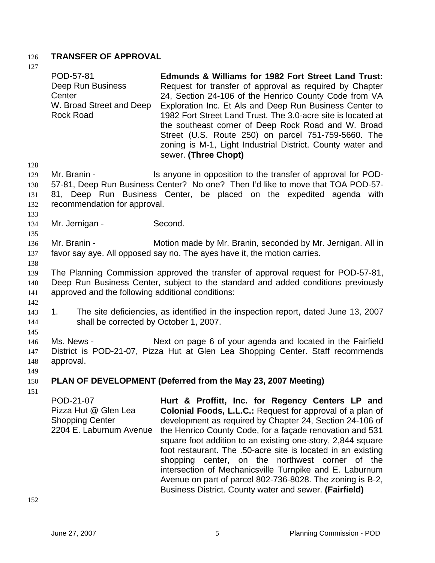# 126 **TRANSFER OF APPROVAL**

127

128 129 130 131 132 133 134 135 136 137 138 139 140 141 142 143 144 145 146 147 148 149 150 151 POD-57-81 Deep Run Business **Center** W. Broad Street and Deep Rock Road **Edmunds & Williams for 1982 Fort Street Land Trust:**  Request for transfer of approval as required by Chapter 24, Section 24-106 of the Henrico County Code from VA Exploration Inc. Et Als and Deep Run Business Center to 1982 Fort Street Land Trust. The 3.0-acre site is located at the southeast corner of Deep Rock Road and W. Broad Street (U.S. Route 250) on parcel 751-759-5660. The zoning is M-1, Light Industrial District. County water and sewer. **(Three Chopt)**  Mr. Branin - The Is anyone in opposition to the transfer of approval for POD-57-81, Deep Run Business Center? No one? Then I'd like to move that TOA POD-57- 81, Deep Run Business Center, be placed on the expedited agenda with recommendation for approval. Mr. Jernigan - Second. Mr. Branin - Motion made by Mr. Branin, seconded by Mr. Jernigan. All in favor say aye. All opposed say no. The ayes have it, the motion carries. The Planning Commission approved the transfer of approval request for POD-57-81, Deep Run Business Center, subject to the standard and added conditions previously approved and the following additional conditions: 1. The site deficiencies, as identified in the inspection report, dated June 13, 2007 shall be corrected by October 1, 2007. Ms. News - Next on page 6 of your agenda and located in the Fairfield District is POD-21-07, Pizza Hut at Glen Lea Shopping Center. Staff recommends approval. **PLAN OF DEVELOPMENT (Deferred from the May 23, 2007 Meeting)**  POD-21-07 Pizza Hut @ Glen Lea Shopping Center 2204 E. Laburnum Avenue **Hurt & Proffitt, Inc. for Regency Centers LP and Colonial Foods, L.L.C.:** Request for approval of a plan of development as required by Chapter 24, Section 24-106 of the Henrico County Code, for a façade renovation and 531 square foot addition to an existing one-story, 2,844 square foot restaurant. The .50-acre site is located in an existing shopping center, on the northwest corner of the

152

intersection of Mechanicsville Turnpike and E. Laburnum Avenue on part of parcel 802-736-8028. The zoning is B-2, Business District. County water and sewer. **(Fairfield)**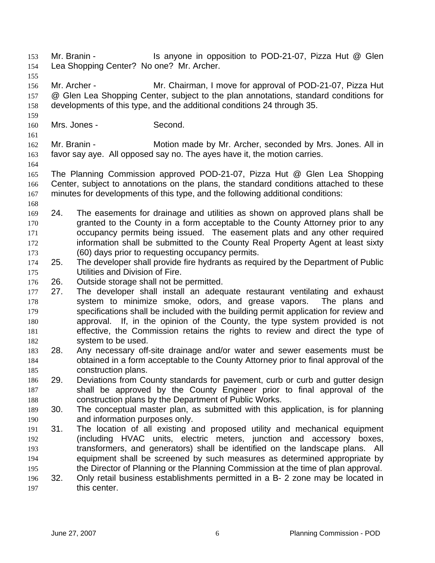- Mr. Branin The State of the anyone in opposition to POD-21-07, Pizza Hut @ Glen Lea Shopping Center? No one? Mr. Archer. 154 155 156 157 158 159 160 161 Mr. Archer - Mr. Chairman, I move for approval of POD-21-07, Pizza Hut @ Glen Lea Shopping Center, subject to the plan annotations, standard conditions for developments of this type, and the additional conditions 24 through 35. Mrs. Jones - Second.
- 162 163 Mr. Branin - **Motion made by Mr. Archer, seconded by Mrs. Jones. All in** favor say aye. All opposed say no. The ayes have it, the motion carries.
- 164

- 165 166 167 The Planning Commission approved POD-21-07, Pizza Hut @ Glen Lea Shopping Center, subject to annotations on the plans, the standard conditions attached to these minutes for developments of this type, and the following additional conditions:
- 168
- 169 170 171 172 173 24. The easements for drainage and utilities as shown on approved plans shall be granted to the County in a form acceptable to the County Attorney prior to any occupancy permits being issued. The easement plats and any other required information shall be submitted to the County Real Property Agent at least sixty (60) days prior to requesting occupancy permits.
- 174 175 25. The developer shall provide fire hydrants as required by the Department of Public Utilities and Division of Fire.
- 176 26. Outside storage shall not be permitted.
- 177 178 179 180 181 182 27. The developer shall install an adequate restaurant ventilating and exhaust system to minimize smoke, odors, and grease vapors. The plans and specifications shall be included with the building permit application for review and approval. If, in the opinion of the County, the type system provided is not effective, the Commission retains the rights to review and direct the type of system to be used.
- 183 184 185 28. Any necessary off-site drainage and/or water and sewer easements must be obtained in a form acceptable to the County Attorney prior to final approval of the construction plans.
- 186 187 188 29. Deviations from County standards for pavement, curb or curb and gutter design shall be approved by the County Engineer prior to final approval of the construction plans by the Department of Public Works.
- 189 190 30. The conceptual master plan, as submitted with this application, is for planning and information purposes only.
- 191 192 193 194 195 196 31. The location of all existing and proposed utility and mechanical equipment (including HVAC units, electric meters, junction and accessory boxes, transformers, and generators) shall be identified on the landscape plans. All equipment shall be screened by such measures as determined appropriate by the Director of Planning or the Planning Commission at the time of plan approval. 32. Only retail business establishments permitted in a B- 2 zone may be located in
- 197 this center.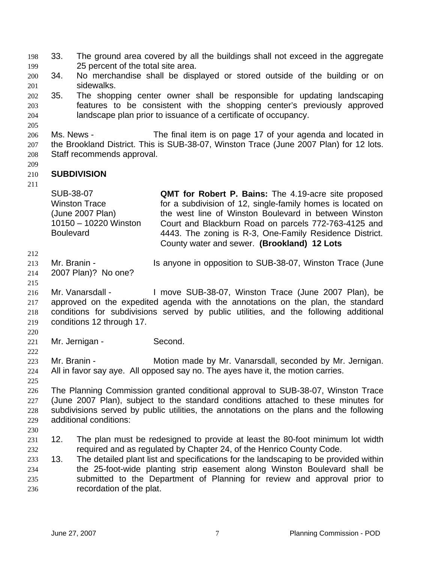| 198 33. | The ground area covered by all the buildings shall not exceed in the aggregate |  |
|---------|--------------------------------------------------------------------------------|--|
| 199     | 25 percent of the total site area.                                             |  |

- 200 201 34. No merchandise shall be displayed or stored outside of the building or on sidewalks.
- 202 203 204 35. The shopping center owner shall be responsible for updating landscaping features to be consistent with the shopping center's previously approved landscape plan prior to issuance of a certificate of occupancy.
- 206 207 208 Ms. News - The final item is on page 17 of your agenda and located in the Brookland District. This is SUB-38-07, Winston Trace (June 2007 Plan) for 12 lots. Staff recommends approval.
- 210 **SUBDIVISION**
- 211

209

205

SUB-38-07 Winston Trace (June 2007 Plan) 10150 – 10220 Winston **Boulevard QMT for Robert P. Bains:** The 4.19-acre site proposed for a subdivision of 12, single-family homes is located on the west line of Winston Boulevard in between Winston Court and Blackburn Road on parcels 772-763-4125 and 4443. The zoning is R-3, One-Family Residence District. County water and sewer. **(Brookland) 12 Lots**

- 212
- 213 Mr. Branin - Is anyone in opposition to SUB-38-07, Winston Trace (June
- 214 2007 Plan)? No one?
- 215
- 216 217 218 219 Mr. Vanarsdall - I move SUB-38-07, Winston Trace (June 2007 Plan), be approved on the expedited agenda with the annotations on the plan, the standard conditions for subdivisions served by public utilities, and the following additional conditions 12 through 17.
- 220 221

222

- Mr. Jernigan Second.
- 223 224 Mr. Branin - **Motion made by Mr. Vanarsdall, seconded by Mr. Jernigan.** All in favor say aye. All opposed say no. The ayes have it, the motion carries.
- 226 227 228 229 The Planning Commission granted conditional approval to SUB-38-07, Winston Trace (June 2007 Plan), subject to the standard conditions attached to these minutes for subdivisions served by public utilities, the annotations on the plans and the following additional conditions:
- 230
- 231 232 12. The plan must be redesigned to provide at least the 80-foot minimum lot width required and as regulated by Chapter 24, of the Henrico County Code.
- 233 234 235 236 13. The detailed plant list and specifications for the landscaping to be provided within the 25-foot-wide planting strip easement along Winston Boulevard shall be submitted to the Department of Planning for review and approval prior to recordation of the plat.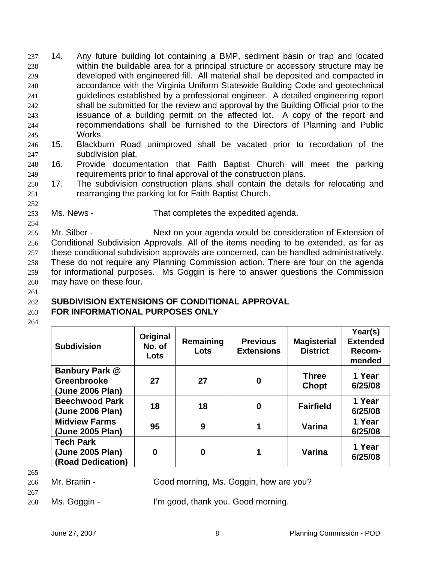14. Any future building lot containing a BMP, sediment basin or trap and located within the buildable area for a principal structure or accessory structure may be developed with engineered fill. All material shall be deposited and compacted in accordance with the Virginia Uniform Statewide Building Code and geotechnical guidelines established by a professional engineer. A detailed engineering report shall be submitted for the review and approval by the Building Official prior to the issuance of a building permit on the affected lot. A copy of the report and recommendations shall be furnished to the Directors of Planning and Public Works. 237 238 239 240 241 242 243 244 245

- 246 247 15. Blackburn Road unimproved shall be vacated prior to recordation of the subdivision plat.
- 248 249 16. Provide documentation that Faith Baptist Church will meet the parking requirements prior to final approval of the construction plans.
- 250 251 17. The subdivision construction plans shall contain the details for relocating and rearranging the parking lot for Faith Baptist Church.
- 253 Ms. News - That completes the expedited agenda.

254 255 256 257 258 259 260 Mr. Silber - Next on your agenda would be consideration of Extension of Conditional Subdivision Approvals. All of the items needing to be extended, as far as these conditional subdivision approvals are concerned, can be handled administratively. These do not require any Planning Commission action. There are four on the agenda for informational purposes. Ms Goggin is here to answer questions the Commission may have on these four.

261

252

#### 262 **SUBDIVISION EXTENSIONS OF CONDITIONAL APPROVAL**

#### 263 **FOR INFORMATIONAL PURPOSES ONLY**

264

| <b>Subdivision</b>    | Original<br>No. of<br>Lots | Remaining<br>Lots | <b>Previous</b><br><b>Extensions</b> | <b>Magisterial</b><br><b>District</b> | Year(s)<br><b>Extended</b><br>Recom-<br>mended |
|-----------------------|----------------------------|-------------------|--------------------------------------|---------------------------------------|------------------------------------------------|
| Banbury Park @        |                            |                   |                                      | <b>Three</b>                          | 1 Year                                         |
| Greenbrooke           | 27                         | 27                | 0                                    | <b>Chopt</b>                          | 6/25/08                                        |
| (June 2006 Plan)      |                            |                   |                                      |                                       |                                                |
| <b>Beechwood Park</b> | 18                         | 18                | $\bf{0}$                             | <b>Fairfield</b>                      | 1 Year                                         |
| (June 2006 Plan)      |                            |                   |                                      |                                       | 6/25/08                                        |
| <b>Midview Farms</b>  | 95                         | 9                 |                                      | Varina                                | 1 Year                                         |
| (June 2005 Plan)      |                            |                   |                                      |                                       | 6/25/08                                        |
| <b>Tech Park</b>      |                            |                   |                                      |                                       | 1 Year                                         |
| (June 2005 Plan)      | 0                          | $\bf{0}$          |                                      | Varina                                |                                                |
| (Road Dedication)     |                            |                   |                                      |                                       | 6/25/08                                        |

- 265
- 266

Mr. Branin - Good morning, Ms. Goggin, how are you?

267 268

Ms. Goggin - I'm good, thank you. Good morning.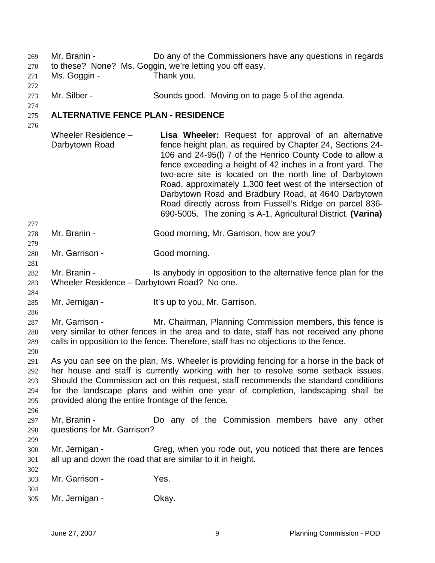Mr. Branin - Do any of the Commissioners have any questions in regards 269

- to these? None? Ms. Goggin, we're letting you off easy. 270
- 271 272 Ms. Goggin - Thank you.
- 273 Mr. Silber - Sounds good. Moving on to page 5 of the agenda.
- 274

#### 275 **ALTERNATIVE FENCE PLAN - RESIDENCE**

276

277

279

281

284

286

290

- Wheeler Residence Darbytown Road **Lisa Wheeler:** Request for approval of an alternative fence height plan, as required by Chapter 24, Sections 24- 106 and 24-95(l) 7 of the Henrico County Code to allow a fence exceeding a height of 42 inches in a front yard. The two-acre site is located on the north line of Darbytown Road, approximately 1,300 feet west of the intersection of Darbytown Road and Bradbury Road, at 4640 Darbytown Road directly across from Fussell's Ridge on parcel 836- 690-5005. The zoning is A-1, Agricultural District. **(Varina)**
- 278 Mr. Branin - Good morning, Mr. Garrison, how are you?
- 280 Mr. Garrison - Good morning.
- 282 283 Mr. Branin - Is anybody in opposition to the alternative fence plan for the Wheeler Residence – Darbytown Road? No one.
- 285 Mr. Jernigan - It's up to you, Mr. Garrison.
- 287 288 289 Mr. Garrison - Mr. Chairman, Planning Commission members, this fence is very similar to other fences in the area and to date, staff has not received any phone calls in opposition to the fence. Therefore, staff has no objections to the fence.
- 291 292 293 294 295 As you can see on the plan, Ms. Wheeler is providing fencing for a horse in the back of her house and staff is currently working with her to resolve some setback issues. Should the Commission act on this request, staff recommends the standard conditions for the landscape plans and within one year of completion, landscaping shall be provided along the entire frontage of the fence.
- 297 298 Mr. Branin - Do any of the Commission members have any other questions for Mr. Garrison?
- 299

302

- 300 301 Mr. Jernigan - Greg, when you rode out, you noticed that there are fences all up and down the road that are similar to it in height.
- 303 Mr. Garrison - Yes.
- 304
- 305 Mr. Jernigan - **Okay.**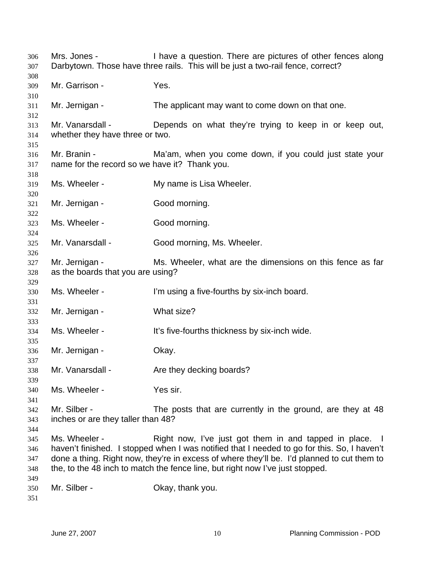Mrs. Jones - I have a question. There are pictures of other fences along Darbytown. Those have three rails. This will be just a two-rail fence, correct? Mr. Garrison - Yes. Mr. Jernigan - The applicant may want to come down on that one. Mr. Vanarsdall - Depends on what they're trying to keep in or keep out, whether they have three or two. Mr. Branin - The Ma'am, when you come down, if you could just state your name for the record so we have it? Thank you. Ms. Wheeler - My name is Lisa Wheeler. Mr. Jernigan - Good morning. Ms. Wheeler - Good morning. Mr. Vanarsdall - Good morning, Ms. Wheeler. Mr. Jernigan - Ms. Wheeler, what are the dimensions on this fence as far as the boards that you are using? Ms. Wheeler - I'm using a five-fourths by six-inch board. Mr. Jernigan - What size? Ms. Wheeler - The Music state of the Higher Music States and Music Music Music Music Music Music Music Music Mu Mr. Jernigan - Ckay. Mr. Vanarsdall - Are they decking boards? Ms. Wheeler - The Yes sir. Mr. Silber - The posts that are currently in the ground, are they at 48 inches or are they taller than 48? Ms. Wheeler - The Right now, I've just got them in and tapped in place. I haven't finished. I stopped when I was notified that I needed to go for this. So, I haven't done a thing. Right now, they're in excess of where they'll be. I'd planned to cut them to the, to the 48 inch to match the fence line, but right now I've just stopped. Mr. Silber - Ckay, thank you.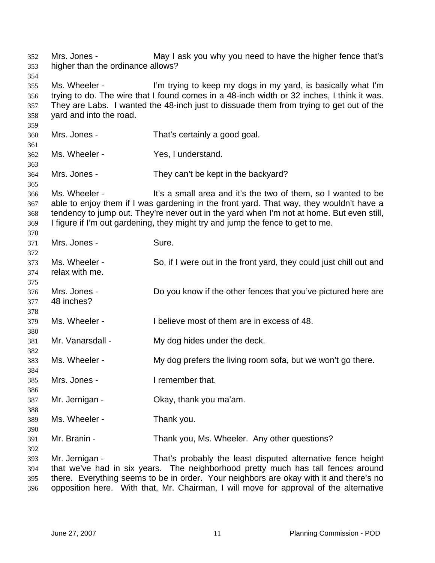Mrs. Jones - May I ask you why you need to have the higher fence that's higher than the ordinance allows? 352 353 354 355 356 357 358 359 360 361 362 363 364 365 366 367 368 369 370 371 372 373 374 375 376 377 378 379 380 381 382 383 384 385 386 387 388 389 390 391 392 393 394 395 Ms. Wheeler - I'm trying to keep my dogs in my yard, is basically what I'm trying to do. The wire that I found comes in a 48-inch width or 32 inches, I think it was. They are Labs. I wanted the 48-inch just to dissuade them from trying to get out of the yard and into the road. Mrs. Jones - That's certainly a good goal. Ms. Wheeler - The Yes, I understand. Mrs. Jones - They can't be kept in the backyard? Ms. Wheeler - This a small area and it's the two of them, so I wanted to be able to enjoy them if I was gardening in the front yard. That way, they wouldn't have a tendency to jump out. They're never out in the yard when I'm not at home. But even still, I figure if I'm out gardening, they might try and jump the fence to get to me. Mrs. Jones - Sure. Ms. Wheeler - So, if I were out in the front yard, they could just chill out and relax with me. Mrs. Jones - Do you know if the other fences that you've pictured here are 48 inches? Ms. Wheeler - Thelieve most of them are in excess of 48. Mr. Vanarsdall - My dog hides under the deck. Ms. Wheeler - My dog prefers the living room sofa, but we won't go there. Mrs. Jones - The Themember that. Mr. Jernigan - Ckay, thank you ma'am. Ms. Wheeler - Thank you. Mr. Branin - Thank you, Ms. Wheeler. Any other questions? Mr. Jernigan - That's probably the least disputed alternative fence height that we've had in six years. The neighborhood pretty much has tall fences around there. Everything seems to be in order. Your neighbors are okay with it and there's no

396

opposition here. With that, Mr. Chairman, I will move for approval of the alternative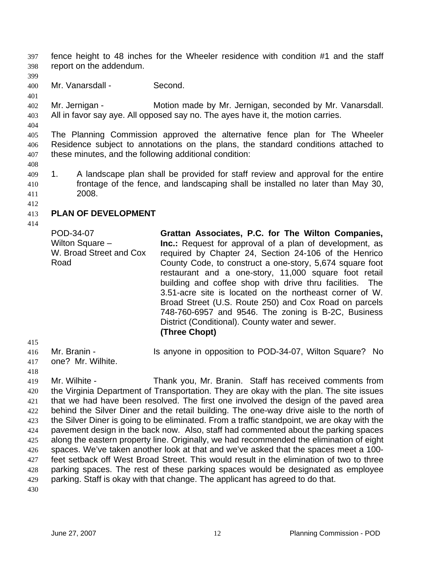fence height to 48 inches for the Wheeler residence with condition #1 and the staff report on the addendum. 397 398

399

401

400 Mr. Vanarsdall - Second.

402 403 Mr. Jernigan - **Motion made by Mr. Jernigan, seconded by Mr. Vanarsdall.** All in favor say aye. All opposed say no. The ayes have it, the motion carries.

404

405 406 407 The Planning Commission approved the alternative fence plan for The Wheeler Residence subject to annotations on the plans, the standard conditions attached to these minutes, and the following additional condition:

408

409 410 411 1. A landscape plan shall be provided for staff review and approval for the entire frontage of the fence, and landscaping shall be installed no later than May 30, 2008.

412

#### 413 **PLAN OF DEVELOPMENT**

414

POD-34-07 Wilton Square – W. Broad Street and Cox Road **Grattan Associates, P.C. for The Wilton Companies, Inc.:** Request for approval of a plan of development, as required by Chapter 24, Section 24-106 of the Henrico County Code, to construct a one-story, 5,674 square foot restaurant and a one-story, 11,000 square foot retail building and coffee shop with drive thru facilities. The 3.51-acre site is located on the northeast corner of W. Broad Street (U.S. Route 250) and Cox Road on parcels 748-760-6957 and 9546. The zoning is B-2C, Business District (Conditional). County water and sewer. **(Three Chopt)** 

415

416 417 Mr. Branin - **IS anyone in opposition to POD-34-07, Wilton Square?** No one? Mr. Wilhite.

418

419 420 421 422 423 424 425 426 427 428 429 Mr. Wilhite - Thank you, Mr. Branin. Staff has received comments from the Virginia Department of Transportation. They are okay with the plan. The site issues that we had have been resolved. The first one involved the design of the paved area behind the Silver Diner and the retail building. The one-way drive aisle to the north of the Silver Diner is going to be eliminated. From a traffic standpoint, we are okay with the pavement design in the back now. Also, staff had commented about the parking spaces along the eastern property line. Originally, we had recommended the elimination of eight spaces. We've taken another look at that and we've asked that the spaces meet a 100 feet setback off West Broad Street. This would result in the elimination of two to three parking spaces. The rest of these parking spaces would be designated as employee parking. Staff is okay with that change. The applicant has agreed to do that.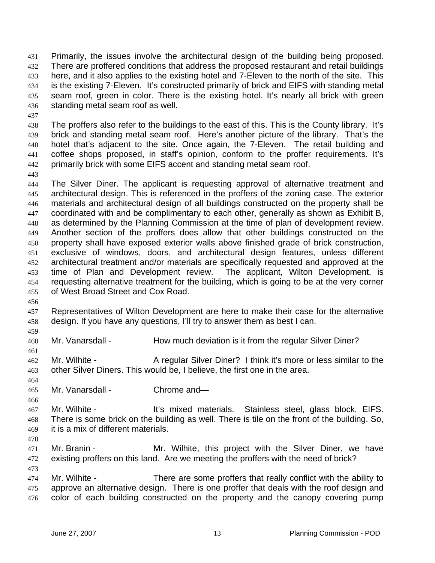Primarily, the issues involve the architectural design of the building being proposed. There are proffered conditions that address the proposed restaurant and retail buildings here, and it also applies to the existing hotel and 7-Eleven to the north of the site. This is the existing 7-Eleven. It's constructed primarily of brick and EIFS with standing metal seam roof, green in color. There is the existing hotel. It's nearly all brick with green standing metal seam roof as well. 431 432 433 434 435 436

437

438 439 440 441 442 The proffers also refer to the buildings to the east of this. This is the County library. It's brick and standing metal seam roof. Here's another picture of the library. That's the hotel that's adjacent to the site. Once again, the 7-Eleven. The retail building and coffee shops proposed, in staff's opinion, conform to the proffer requirements. It's primarily brick with some EIFS accent and standing metal seam roof.

443

444 445 446 447 448 449 450 451 452 453 454 455 The Silver Diner. The applicant is requesting approval of alternative treatment and architectural design. This is referenced in the proffers of the zoning case. The exterior materials and architectural design of all buildings constructed on the property shall be coordinated with and be complimentary to each other, generally as shown as Exhibit B, as determined by the Planning Commission at the time of plan of development review. Another section of the proffers does allow that other buildings constructed on the property shall have exposed exterior walls above finished grade of brick construction, exclusive of windows, doors, and architectural design features, unless different architectural treatment and/or materials are specifically requested and approved at the time of Plan and Development review. The applicant, Wilton Development, is requesting alternative treatment for the building, which is going to be at the very corner of West Broad Street and Cox Road.

456

457 458 Representatives of Wilton Development are here to make their case for the alternative design. If you have any questions, I'll try to answer them as best I can.

459 460

461

464

Mr. Vanarsdall - How much deviation is it from the regular Silver Diner?

462 463 Mr. Wilhite - A regular Silver Diner? I think it's more or less similar to the other Silver Diners. This would be, I believe, the first one in the area.

- 465 Mr. Vanarsdall - Chrome and—
- 466 467 468 469 Mr. Wilhite - The Muslim Hit's mixed materials. Stainless steel, glass block, EIFS. There is some brick on the building as well. There is tile on the front of the building. So, it is a mix of different materials.
- 470

- 471 472 Mr. Branin - Mr. Wilhite, this project with the Silver Diner, we have existing proffers on this land. Are we meeting the proffers with the need of brick?
- 474 475 476 Mr. Wilhite - There are some proffers that really conflict with the ability to approve an alternative design. There is one proffer that deals with the roof design and color of each building constructed on the property and the canopy covering pump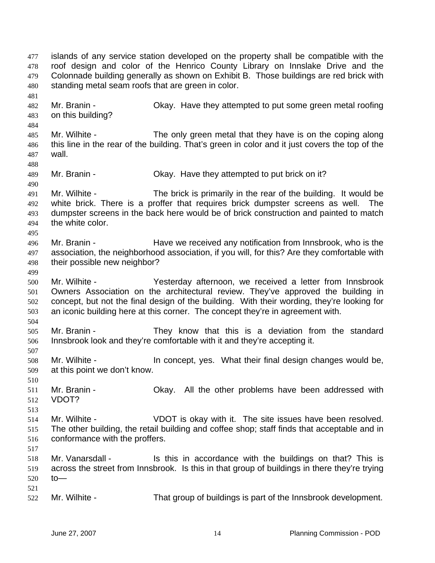islands of any service station developed on the property shall be compatible with the roof design and color of the Henrico County Library on Innslake Drive and the Colonnade building generally as shown on Exhibit B. Those buildings are red brick with standing metal seam roofs that are green in color. 477 478 479 480 481 482 483 484 485 486 487 488 489 490 491 492 493 494 495 496 497 498 499 500 501 502 503 504 505 506 507 508 509 510 511 512 513 514 515 516 517 518 519 520 521 522 Mr. Branin - Ckay. Have they attempted to put some green metal roofing on this building? Mr. Wilhite - The only green metal that they have is on the coping along this line in the rear of the building. That's green in color and it just covers the top of the wall. Mr. Branin - Ckay. Have they attempted to put brick on it? Mr. Wilhite - The brick is primarily in the rear of the building. It would be white brick. There is a proffer that requires brick dumpster screens as well. The dumpster screens in the back here would be of brick construction and painted to match the white color. Mr. Branin - **Have we received any notification from Innsbrook**, who is the association, the neighborhood association, if you will, for this? Are they comfortable with their possible new neighbor? Mr. Wilhite - Yesterday afternoon, we received a letter from Innsbrook Owners Association on the architectural review. They've approved the building in concept, but not the final design of the building. With their wording, they're looking for an iconic building here at this corner. The concept they're in agreement with. Mr. Branin - They know that this is a deviation from the standard Innsbrook look and they're comfortable with it and they're accepting it. Mr. Wilhite - The Concept, yes. What their final design changes would be, at this point we don't know. Mr. Branin - Okay. All the other problems have been addressed with VDOT? Mr. Wilhite - VDOT is okay with it. The site issues have been resolved. The other building, the retail building and coffee shop; staff finds that acceptable and in conformance with the proffers. Mr. Vanarsdall - Is this in accordance with the buildings on that? This is across the street from Innsbrook. Is this in that group of buildings in there they're trying to— Mr. Wilhite - That group of buildings is part of the Innsbrook development.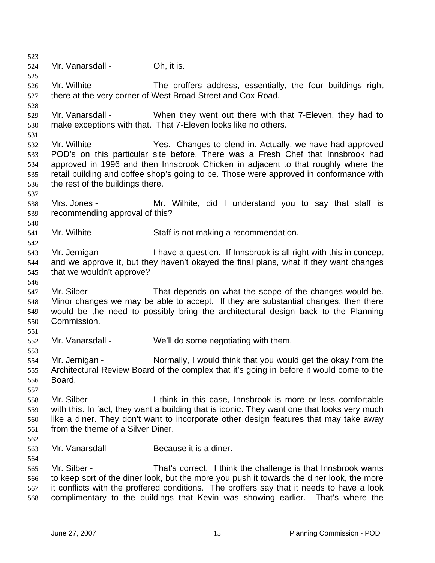523 524 525 526 527 528 529 530 531 532 533 534 535 536 537 538 539 540 541 542 543 544 545 546 547 548 549 550 551 552 553 554 555 556 557 558 559 560 561 562 563 564 565 566 567 568 Mr. Vanarsdall - Ch, it is. Mr. Wilhite - The proffers address, essentially, the four buildings right there at the very corner of West Broad Street and Cox Road. Mr. Vanarsdall - When they went out there with that 7-Eleven, they had to make exceptions with that. That 7-Eleven looks like no others. Mr. Wilhite - Yes. Changes to blend in. Actually, we have had approved POD's on this particular site before. There was a Fresh Chef that Innsbrook had approved in 1996 and then Innsbrook Chicken in adjacent to that roughly where the retail building and coffee shop's going to be. Those were approved in conformance with the rest of the buildings there. Mrs. Jones - The Mr. Wilhite, did I understand you to say that staff is recommending approval of this? Mr. Wilhite - Staff is not making a recommendation. Mr. Jernigan - I have a question. If Innsbrook is all right with this in concept and we approve it, but they haven't okayed the final plans, what if they want changes that we wouldn't approve? Mr. Silber - That depends on what the scope of the changes would be. Minor changes we may be able to accept. If they are substantial changes, then there would be the need to possibly bring the architectural design back to the Planning Commission. Mr. Vanarsdall - We'll do some negotiating with them. Mr. Jernigan - Normally, I would think that you would get the okay from the Architectural Review Board of the complex that it's going in before it would come to the Board. Mr. Silber - Think in this case, Innsbrook is more or less comfortable with this. In fact, they want a building that is iconic. They want one that looks very much like a diner. They don't want to incorporate other design features that may take away from the theme of a Silver Diner. Mr. Vanarsdall - Because it is a diner. Mr. Silber - That's correct. I think the challenge is that Innsbrook wants to keep sort of the diner look, but the more you push it towards the diner look, the more it conflicts with the proffered conditions. The proffers say that it needs to have a look complimentary to the buildings that Kevin was showing earlier. That's where the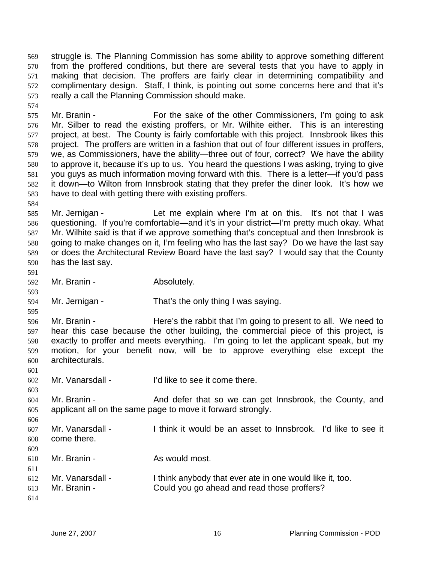struggle is. The Planning Commission has some ability to approve something different from the proffered conditions, but there are several tests that you have to apply in making that decision. The proffers are fairly clear in determining compatibility and complimentary design. Staff, I think, is pointing out some concerns here and that it's really a call the Planning Commission should make. 569 570 571 572 573

575 576 577 578 579 580 581 582 583 Mr. Branin - For the sake of the other Commissioners, I'm going to ask Mr. Silber to read the existing proffers, or Mr. Wilhite either. This is an interesting project, at best. The County is fairly comfortable with this project. Innsbrook likes this project. The proffers are written in a fashion that out of four different issues in proffers, we, as Commissioners, have the ability—three out of four, correct? We have the ability to approve it, because it's up to us. You heard the questions I was asking, trying to give you guys as much information moving forward with this. There is a letter—if you'd pass it down—to Wilton from Innsbrook stating that they prefer the diner look. It's how we have to deal with getting there with existing proffers.

584

574

585 586 587 588 589 590 Mr. Jernigan - Let me explain where I'm at on this. It's not that I was questioning. If you're comfortable—and it's in your district—I'm pretty much okay. What Mr. Wilhite said is that if we approve something that's conceptual and then Innsbrook is going to make changes on it, I'm feeling who has the last say? Do we have the last say or does the Architectural Review Board have the last say? I would say that the County has the last say.

591

593

595

601

603

606

- 592 Mr. Branin - Absolutely.
- 594 Mr. Jernigan - That's the only thing I was saying.

596 597 598 599 600 Mr. Branin - Here's the rabbit that I'm going to present to all. We need to hear this case because the other building, the commercial piece of this project, is exactly to proffer and meets everything. I'm going to let the applicant speak, but my motion, for your benefit now, will be to approve everything else except the architecturals.

- 602 Mr. Vanarsdall - I'd like to see it come there.
- 604 605 Mr. Branin - The And defer that so we can get Innsbrook, the County, and applicant all on the same page to move it forward strongly.
- 607 608 Mr. Vanarsdall - Think it would be an asset to Innsbrook. I'd like to see it come there.
- 609 610 Mr. Branin - As would most.
- 611 612 613 Mr. Vanarsdall - I think anybody that ever ate in one would like it, too. Mr. Branin - Could you go ahead and read those proffers?
- 614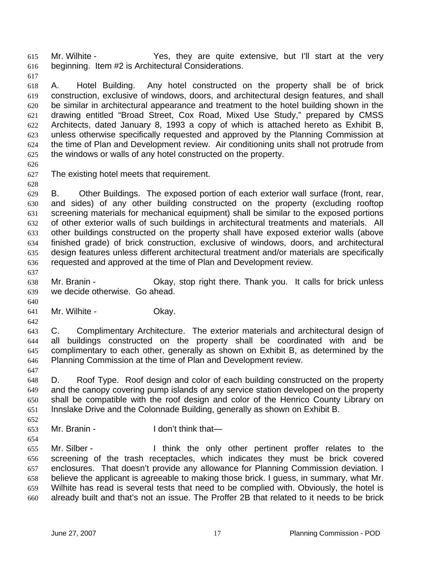Mr. Wilhite - Yes, they are quite extensive, but I'll start at the very beginning. Item #2 is Architectural Considerations. 615 616

617

618 619 620 621 622 623 624 625 A. Hotel Building. Any hotel constructed on the property shall be of brick construction, exclusive of windows, doors, and architectural design features, and shall be similar in architectural appearance and treatment to the hotel building shown in the drawing entitled "Broad Street, Cox Road, Mixed Use Study," prepared by CMSS Architects, dated January 8, 1993 a copy of which is attached hereto as Exhibit B, unless otherwise specifically requested and approved by the Planning Commission at the time of Plan and Development review. Air conditioning units shall not protrude from the windows or walls of any hotel constructed on the property.

626

628

627 The existing hotel meets that requirement.

629 630 631 632 633 634 635 636 B. Other Buildings. The exposed portion of each exterior wall surface (front, rear, and sides) of any other building constructed on the property (excluding rooftop screening materials for mechanical equipment) shall be similar to the exposed portions of other exterior walls of such buildings in architectural treatments and materials. All other buildings constructed on the property shall have exposed exterior walls (above finished grade) of brick construction, exclusive of windows, doors, and architectural design features unless different architectural treatment and/or materials are specifically requested and approved at the time of Plan and Development review.

638 639 Mr. Branin - Ckay, stop right there. Thank you. It calls for brick unless we decide otherwise. Go ahead.

641 Mr. Wilhite - Chay.

642

640

637

643 644 645 646 C. Complimentary Architecture. The exterior materials and architectural design of all buildings constructed on the property shall be coordinated with and be complimentary to each other, generally as shown on Exhibit B, as determined by the Planning Commission at the time of Plan and Development review.

647

648 649 650 651 D. Roof Type. Roof design and color of each building constructed on the property and the canopy covering pump islands of any service station developed on the property shall be compatible with the roof design and color of the Henrico County Library on Innslake Drive and the Colonnade Building, generally as shown on Exhibit B.

652

653 Mr. Branin - The I don't think that—

654 655 656 657 658 659 660 Mr. Silber - Think the only other pertinent proffer relates to the screening of the trash receptacles, which indicates they must be brick covered enclosures. That doesn't provide any allowance for Planning Commission deviation. I believe the applicant is agreeable to making those brick. I guess, in summary, what Mr. Wilhite has read is several tests that need to be complied with. Obviously, the hotel is already built and that's not an issue. The Proffer 2B that related to it needs to be brick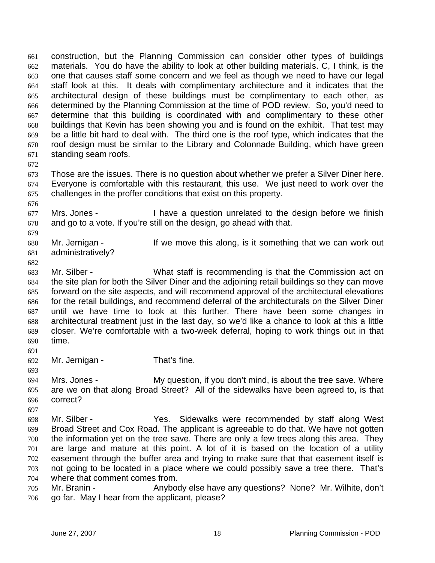construction, but the Planning Commission can consider other types of buildings materials. You do have the ability to look at other building materials. C, I think, is the one that causes staff some concern and we feel as though we need to have our legal staff look at this. It deals with complimentary architecture and it indicates that the architectural design of these buildings must be complimentary to each other, as determined by the Planning Commission at the time of POD review. So, you'd need to determine that this building is coordinated with and complimentary to these other buildings that Kevin has been showing you and is found on the exhibit. That test may be a little bit hard to deal with. The third one is the roof type, which indicates that the roof design must be similar to the Library and Colonnade Building, which have green standing seam roofs. 661 662 663 664 665 666 667 668 669 670 671

672

676

679

673 674 675 Those are the issues. There is no question about whether we prefer a Silver Diner here. Everyone is comfortable with this restaurant, this use. We just need to work over the challenges in the proffer conditions that exist on this property.

677 678 Mrs. Jones - I have a question unrelated to the design before we finish and go to a vote. If you're still on the design, go ahead with that.

680 681 Mr. Jernigan - If we move this along, is it something that we can work out administratively?

682

683 684 685 686 687 688 689 690 Mr. Silber - What staff is recommending is that the Commission act on the site plan for both the Silver Diner and the adjoining retail buildings so they can move forward on the site aspects, and will recommend approval of the architectural elevations for the retail buildings, and recommend deferral of the architecturals on the Silver Diner until we have time to look at this further. There have been some changes in architectural treatment just in the last day, so we'd like a chance to look at this a little closer. We're comfortable with a two-week deferral, hoping to work things out in that time.

692 Mr. Jernigan - That's fine.

693

697

691

694 695 696 Mrs. Jones - My question, if you don't mind, is about the tree save. Where are we on that along Broad Street? All of the sidewalks have been agreed to, is that correct?

- 698 699 700 701 702 703 704 Mr. Silber - The Yes. Sidewalks were recommended by staff along West Broad Street and Cox Road. The applicant is agreeable to do that. We have not gotten the information yet on the tree save. There are only a few trees along this area. They are large and mature at this point. A lot of it is based on the location of a utility easement through the buffer area and trying to make sure that that easement itself is not going to be located in a place where we could possibly save a tree there. That's where that comment comes from.
- 705 706 Mr. Branin - Anybody else have any questions? None? Mr. Wilhite, don't go far. May I hear from the applicant, please?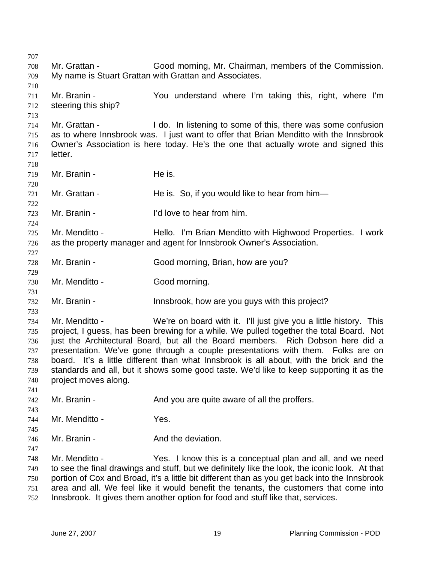707 708 709 710 711 712 713 714 715 716 717 718 719 720 721 722 723 724 725 726 727 728 729 730 731 732 733 734 735 736 737 738 739 740 741 742 743 744 745 746 747 748 749 750 751 752 Mr. Grattan - Good morning, Mr. Chairman, members of the Commission. My name is Stuart Grattan with Grattan and Associates. Mr. Branin - You understand where I'm taking this, right, where I'm steering this ship? Mr. Grattan - I do. In listening to some of this, there was some confusion as to where Innsbrook was. I just want to offer that Brian Menditto with the Innsbrook Owner's Association is here today. He's the one that actually wrote and signed this letter. Mr. Branin - The is. Mr. Grattan - The is. So, if you would like to hear from him— Mr. Branin - **I'd love to hear from him.** Mr. Menditto - Thello. I'm Brian Menditto with Highwood Properties. I work as the property manager and agent for Innsbrook Owner's Association. Mr. Branin - Good morning, Brian, how are you? Mr. Menditto - Good morning. Mr. Branin - The Innsbrook, how are you guys with this project? Mr. Menditto - We're on board with it. I'll just give you a little history. This project, I guess, has been brewing for a while. We pulled together the total Board. Not just the Architectural Board, but all the Board members. Rich Dobson here did a presentation. We've gone through a couple presentations with them. Folks are on board. It's a little different than what Innsbrook is all about, with the brick and the standards and all, but it shows some good taste. We'd like to keep supporting it as the project moves along. Mr. Branin - The And you are quite aware of all the proffers. Mr. Menditto - Yes. Mr. Branin - The And the deviation. Mr. Menditto - Yes. I know this is a conceptual plan and all, and we need to see the final drawings and stuff, but we definitely like the look, the iconic look. At that portion of Cox and Broad, it's a little bit different than as you get back into the Innsbrook area and all. We feel like it would benefit the tenants, the customers that come into Innsbrook. It gives them another option for food and stuff like that, services.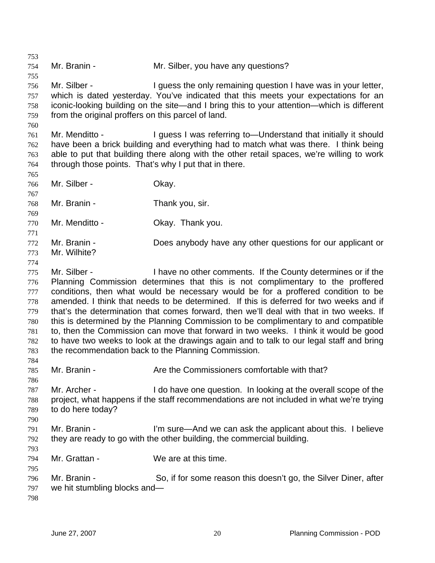753 754 755 756 757 758 759 760 761 762 763 764 765 766 767 768 769 770 771 772 773 774 775 776 777 778 779 780 781 782 783 784 785 786 787 788 789 790 791 792 793 794 795 796 797 798 Mr. Branin - Mr. Silber, you have any questions? Mr. Silber - The I guess the only remaining question I have was in your letter, which is dated yesterday. You've indicated that this meets your expectations for an iconic-looking building on the site—and I bring this to your attention—which is different from the original proffers on this parcel of land. Mr. Menditto - I guess I was referring to—Understand that initially it should have been a brick building and everything had to match what was there. I think being able to put that building there along with the other retail spaces, we're willing to work through those points. That's why I put that in there. Mr. Silber - Chay. Mr. Branin - Thank you, sir. Mr. Menditto - Chay. Thank you. Mr. Branin - Does anybody have any other questions for our applicant or Mr. Wilhite? Mr. Silber - I have no other comments. If the County determines or if the Planning Commission determines that this is not complimentary to the proffered conditions, then what would be necessary would be for a proffered condition to be amended. I think that needs to be determined. If this is deferred for two weeks and if that's the determination that comes forward, then we'll deal with that in two weeks. If this is determined by the Planning Commission to be complimentary to and compatible to, then the Commission can move that forward in two weeks. I think it would be good to have two weeks to look at the drawings again and to talk to our legal staff and bring the recommendation back to the Planning Commission. Mr. Branin - The Are the Commissioners comfortable with that? Mr. Archer - The I do have one question. In looking at the overall scope of the project, what happens if the staff recommendations are not included in what we're trying to do here today? Mr. Branin - The State-And we can ask the applicant about this. I believe they are ready to go with the other building, the commercial building. Mr. Grattan - We are at this time. Mr. Branin - So, if for some reason this doesn't go, the Silver Diner, after we hit stumbling blocks and—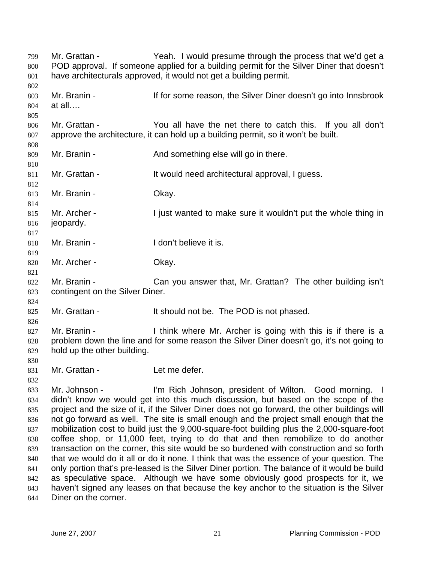Mr. Grattan - Yeah. I would presume through the process that we'd get a POD approval. If someone applied for a building permit for the Silver Diner that doesn't have architecturals approved, it would not get a building permit. 799 800 801 802 803 804 805 806 807 808 809 810 811 812 813 814 815 816 817 818 819 820 821 822 823 824 825 826 827 828 829 830 831 832 833 834 835 836 837 838 839 840 841 842 843 844 Mr. Branin - The State of the Silver Diner doesn't go into Innsbrook at all…. Mr. Grattan - The You all have the net there to catch this. If you all don't approve the architecture, it can hold up a building permit, so it won't be built. Mr. Branin - The And something else will go in there. Mr. Grattan - The State of the Would need architectural approval, I guess. Mr. Branin - Ckay. Mr. Archer - I just wanted to make sure it wouldn't put the whole thing in jeopardy. Mr. Branin - The I don't believe it is. Mr. Archer - Okay. Mr. Branin - Can you answer that, Mr. Grattan? The other building isn't contingent on the Silver Diner. Mr. Grattan - It should not be. The POD is not phased. Mr. Branin - I think where Mr. Archer is going with this is if there is a problem down the line and for some reason the Silver Diner doesn't go, it's not going to hold up the other building. Mr. Grattan - Let me defer. Mr. Johnson - I'm Rich Johnson, president of Wilton. Good morning. I didn't know we would get into this much discussion, but based on the scope of the project and the size of it, if the Silver Diner does not go forward, the other buildings will not go forward as well. The site is small enough and the project small enough that the mobilization cost to build just the 9,000-square-foot building plus the 2,000-square-foot coffee shop, or 11,000 feet, trying to do that and then remobilize to do another transaction on the corner, this site would be so burdened with construction and so forth that we would do it all or do it none. I think that was the essence of your question. The only portion that's pre-leased is the Silver Diner portion. The balance of it would be build as speculative space. Although we have some obviously good prospects for it, we haven't signed any leases on that because the key anchor to the situation is the Silver Diner on the corner.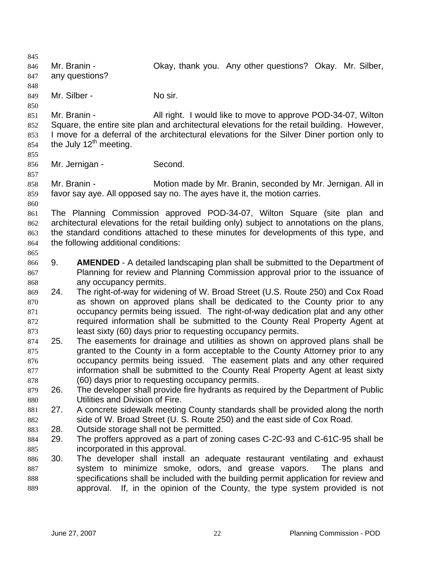845 846 847 848 849 850 851 852 853 854 855 856 857 858 859 860 861 862 863 864 865 866 867 868 869 870 871 872 873 874 875 876 877 878 879 880 881 882 883 884 885 886 887 888 889 Mr. Branin - **CKAY, thank you.** Any other questions? Okay. Mr. Silber, any questions? Mr. Silber - No sir. Mr. Branin - All right. I would like to move to approve POD-34-07, Wilton Square, the entire site plan and architectural elevations for the retail building. However, I move for a deferral of the architectural elevations for the Silver Diner portion only to the July  $12<sup>th</sup>$  meeting. Mr. Jernigan - Second. Mr. Branin - **Motion made by Mr. Branin, seconded by Mr. Jernigan. All in** favor say aye. All opposed say no. The ayes have it, the motion carries. The Planning Commission approved POD-34-07, Wilton Square (site plan and architectural elevations for the retail building only) subject to annotations on the plans, the standard conditions attached to these minutes for developments of this type, and the following additional conditions: 9. **AMENDED** - A detailed landscaping plan shall be submitted to the Department of Planning for review and Planning Commission approval prior to the issuance of any occupancy permits. 24. The right-of-way for widening of W. Broad Street (U.S. Route 250) and Cox Road as shown on approved plans shall be dedicated to the County prior to any occupancy permits being issued. The right-of-way dedication plat and any other required information shall be submitted to the County Real Property Agent at least sixty (60) days prior to requesting occupancy permits. 25. The easements for drainage and utilities as shown on approved plans shall be granted to the County in a form acceptable to the County Attorney prior to any occupancy permits being issued. The easement plats and any other required information shall be submitted to the County Real Property Agent at least sixty (60) days prior to requesting occupancy permits. 26. The developer shall provide fire hydrants as required by the Department of Public Utilities and Division of Fire. 27. A concrete sidewalk meeting County standards shall be provided along the north side of W. Broad Street (U. S. Route 250) and the east side of Cox Road. 28. Outside storage shall not be permitted. 29. The proffers approved as a part of zoning cases C-2C-93 and C-61C-95 shall be incorporated in this approval. 30. The developer shall install an adequate restaurant ventilating and exhaust system to minimize smoke, odors, and grease vapors. The plans and specifications shall be included with the building permit application for review and approval. If, in the opinion of the County, the type system provided is not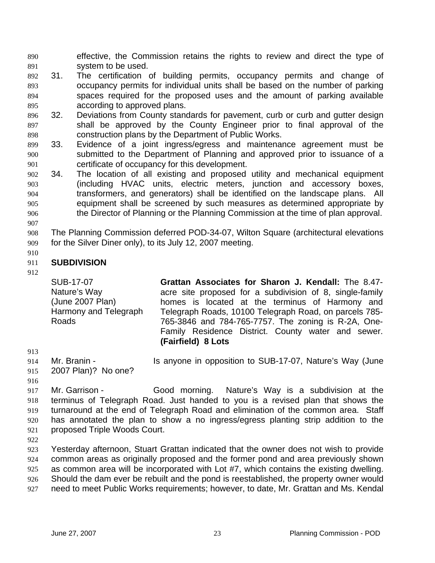effective, the Commission retains the rights to review and direct the type of system to be used. 890 891

- 892 893 894 895 31. The certification of building permits, occupancy permits and change of occupancy permits for individual units shall be based on the number of parking spaces required for the proposed uses and the amount of parking available according to approved plans.
- 896 897 898 32. Deviations from County standards for pavement, curb or curb and gutter design shall be approved by the County Engineer prior to final approval of the construction plans by the Department of Public Works.
- 899 900 901 33. Evidence of a joint ingress/egress and maintenance agreement must be submitted to the Department of Planning and approved prior to issuance of a certificate of occupancy for this development.
- 902 903 904 905 906 907 34. The location of all existing and proposed utility and mechanical equipment (including HVAC units, electric meters, junction and accessory boxes, transformers, and generators) shall be identified on the landscape plans. All equipment shall be screened by such measures as determined appropriate by the Director of Planning or the Planning Commission at the time of plan approval.
- 908 909 The Planning Commission deferred POD-34-07, Wilton Square (architectural elevations for the Silver Diner only), to its July 12, 2007 meeting.
- 910

#### 911 **SUBDIVISION**

912

SUB-17-07 Nature's Way (June 2007 Plan) Harmony and Telegraph **Grattan Associates for Sharon J. Kendall:** The 8.47 acre site proposed for a subdivision of 8, single-family homes is located at the terminus of Harmony and Telegraph Roads, 10100 Telegraph Road, on parcels 785- 765-3846 and 784-765-7757. The zoning is R-2A, One-Family Residence District. County water and sewer. **(Fairfield) 8 Lots**

913

914

Roads

- Mr. Branin Is anyone in opposition to SUB-17-07, Nature's Way (June
- 915 2007 Plan)? No one?
- 916

917 918 919 920 921 Mr. Garrison - Good morning. Nature's Way is a subdivision at the terminus of Telegraph Road. Just handed to you is a revised plan that shows the turnaround at the end of Telegraph Road and elimination of the common area. Staff has annotated the plan to show a no ingress/egress planting strip addition to the proposed Triple Woods Court.

922

923 924 925 926 927 Yesterday afternoon, Stuart Grattan indicated that the owner does not wish to provide common areas as originally proposed and the former pond and area previously shown as common area will be incorporated with Lot #7, which contains the existing dwelling. Should the dam ever be rebuilt and the pond is reestablished, the property owner would need to meet Public Works requirements; however, to date, Mr. Grattan and Ms. Kendal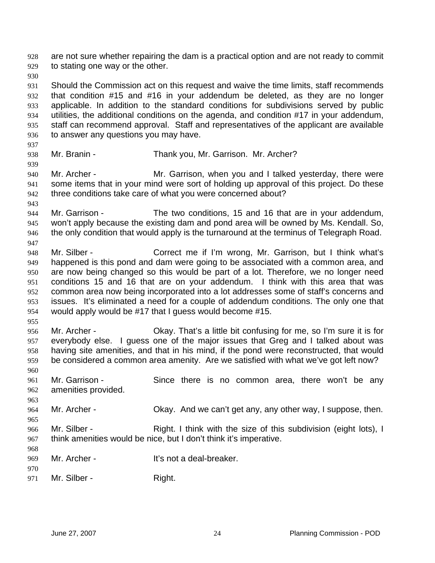are not sure whether repairing the dam is a practical option and are not ready to commit to stating one way or the other. 928 929

930

931 932 933 934 935 936 Should the Commission act on this request and waive the time limits, staff recommends that condition #15 and #16 in your addendum be deleted, as they are no longer applicable. In addition to the standard conditions for subdivisions served by public utilities, the additional conditions on the agenda, and condition #17 in your addendum, staff can recommend approval. Staff and representatives of the applicant are available to answer any questions you may have.

937

939

947

- 938 Mr. Branin - Thank you, Mr. Garrison. Mr. Archer?
- 940 941 942 Mr. Archer - Mr. Garrison, when you and I talked yesterday, there were some items that in your mind were sort of holding up approval of this project. Do these three conditions take care of what you were concerned about?
- 943 944 945 946 Mr. Garrison - The two conditions, 15 and 16 that are in your addendum, won't apply because the existing dam and pond area will be owned by Ms. Kendall. So, the only condition that would apply is the turnaround at the terminus of Telegraph Road.
- 948 949 950 951 952 953 954 Mr. Silber - Correct me if I'm wrong, Mr. Garrison, but I think what's happened is this pond and dam were going to be associated with a common area, and are now being changed so this would be part of a lot. Therefore, we no longer need conditions 15 and 16 that are on your addendum. I think with this area that was common area now being incorporated into a lot addresses some of staff's concerns and issues. It's eliminated a need for a couple of addendum conditions. The only one that would apply would be #17 that I guess would become #15.
- 955

956 957 958 959 Mr. Archer - Okay. That's a little bit confusing for me, so I'm sure it is for everybody else. I guess one of the major issues that Greg and I talked about was having site amenities, and that in his mind, if the pond were reconstructed, that would be considered a common area amenity. Are we satisfied with what we've got left now?

960

963

965

- 961 962 Mr. Garrison - Since there is no common area, there won't be any amenities provided.
- 964 Mr. Archer - Ckay. And we can't get any, any other way, I suppose, then.
- 966 967 Mr. Silber - Right. I think with the size of this subdivision (eight lots), I think amenities would be nice, but I don't think it's imperative.
- 969 Mr. Archer - It's not a deal-breaker.
- 970 971 Mr. Silber - Right.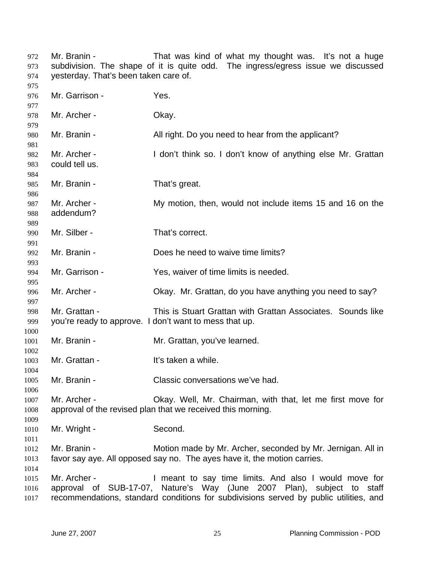Mr. Branin - That was kind of what my thought was. It's not a huge subdivision. The shape of it is quite odd. The ingress/egress issue we discussed yesterday. That's been taken care of. Mr. Garrison - Yes. Mr. Archer - Okay. Mr. Branin - **All right.** Do you need to hear from the applicant? Mr. Archer - I don't think so. I don't know of anything else Mr. Grattan could tell us. Mr. Branin - That's great. Mr. Archer - My motion, then, would not include items 15 and 16 on the addendum? Mr. Silber - That's correct. Mr. Branin - Does he need to waive time limits? Mr. Garrison - Yes, waiver of time limits is needed. Mr. Archer - Chay. Mr. Grattan, do you have anything you need to say? Mr. Grattan - This is Stuart Grattan with Grattan Associates. Sounds like you're ready to approve. I don't want to mess that up. Mr. Branin - **Mr. Grattan, you've learned.** Mr. Grattan - It's taken a while. Mr. Branin - Classic conversations we've had. Mr. Archer - Okay. Well, Mr. Chairman, with that, let me first move for approval of the revised plan that we received this morning. Mr. Wright - Second. Mr. Branin - **Motion made by Mr. Archer, seconded by Mr. Jernigan. All in** favor say aye. All opposed say no. The ayes have it, the motion carries. Mr. Archer - I meant to say time limits. And also I would move for approval of SUB-17-07, Nature's Way (June 2007 Plan), subject to staff recommendations, standard conditions for subdivisions served by public utilities, and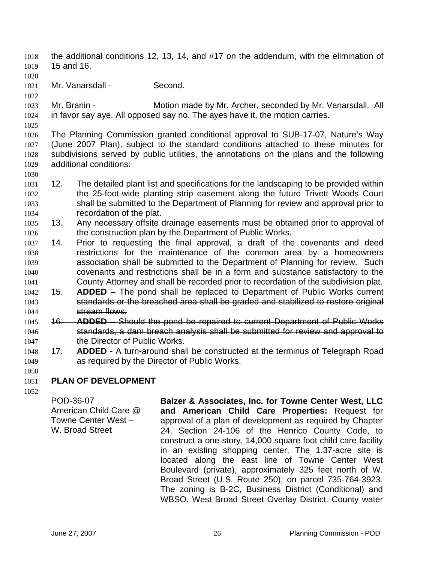- the additional conditions 12, 13, 14, and #17 on the addendum, with the elimination of 15 and 16. 1018 1019
- 1020
- 1021 Mr. Vanarsdall - Second.

1022

1025

1030

1023 1024 Mr. Branin - **Motion made by Mr. Archer, seconded by Mr. Vanarsdall. All** in favor say aye. All opposed say no. The ayes have it, the motion carries.

1026 1027 1028 1029 The Planning Commission granted conditional approval to SUB-17-07, Nature's Way (June 2007 Plan), subject to the standard conditions attached to these minutes for subdivisions served by public utilities, the annotations on the plans and the following additional conditions:

- 1031 1032 1033 1034 12. The detailed plant list and specifications for the landscaping to be provided within the 25-foot-wide planting strip easement along the future Trivett Woods Court shall be submitted to the Department of Planning for review and approval prior to recordation of the plat.
- 1035 1036 13. Any necessary offsite drainage easements must be obtained prior to approval of the construction plan by the Department of Public Works.
- 1037 1038 1039 1040 1041 14. Prior to requesting the final approval, a draft of the covenants and deed restrictions for the maintenance of the common area by a homeowners association shall be submitted to the Department of Planning for review. Such covenants and restrictions shall be in a form and substance satisfactory to the County Attorney and shall be recorded prior to recordation of the subdivision plat.
- 1042 15. **ADDED**  The pond shall be replaced to Department of Public Works current 1043 standards or the breached area shall be graded and stabilized to restore original 1044 stream flows.
- 1045 16. **ADDED** Should the pond be repaired to current Department of Public Works 1046 standards, a dam breach analysis shall be submitted for review and approval to 1047 **the Director of Public Works.**
- 1048 1049 17. **ADDED** - A turn-around shall be constructed at the terminus of Telegraph Road as required by the Director of Public Works.
- 1050

### 1051 **PLAN OF DEVELOPMENT**

1052

POD-36-07 American Child Care @ Towne Center West – W. Broad Street

**Balzer & Associates, Inc. for Towne Center West, LLC and American Child Care Properties:** Request for approval of a plan of development as required by Chapter 24, Section 24-106 of the Henrico County Code, to construct a one-story, 14,000 square foot child care facility in an existing shopping center. The 1.37-acre site is located along the east line of Towne Center West Boulevard (private), approximately 325 feet north of W. Broad Street (U.S. Route 250), on parcel 735-764-3923. The zoning is B-2C, Business District (Conditional) and WBSO, West Broad Street Overlay District. County water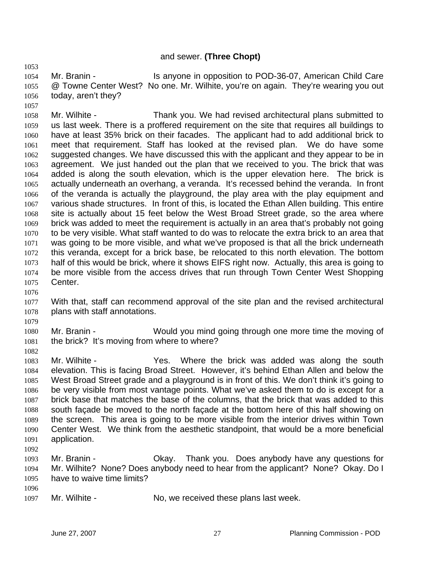# and sewer. **(Three Chopt)**

1054 1055 1056 Mr. Branin - Is anyone in opposition to POD-36-07, American Child Care @ Towne Center West? No one. Mr. Wilhite, you're on again. They're wearing you out today, aren't they?

1057 1058 1059 1060 1061 1062 1063 1064 1065 1066 1067 1068 1069 1070 1071 1072 1073 1074 1075 Mr. Wilhite - Thank you. We had revised architectural plans submitted to us last week. There is a proffered requirement on the site that requires all buildings to have at least 35% brick on their facades. The applicant had to add additional brick to meet that requirement. Staff has looked at the revised plan. We do have some suggested changes. We have discussed this with the applicant and they appear to be in agreement. We just handed out the plan that we received to you. The brick that was added is along the south elevation, which is the upper elevation here. The brick is actually underneath an overhang, a veranda. It's recessed behind the veranda. In front of the veranda is actually the playground, the play area with the play equipment and various shade structures. In front of this, is located the Ethan Allen building. This entire site is actually about 15 feet below the West Broad Street grade, so the area where brick was added to meet the requirement is actually in an area that's probably not going to be very visible. What staff wanted to do was to relocate the extra brick to an area that was going to be more visible, and what we've proposed is that all the brick underneath this veranda, except for a brick base, be relocated to this north elevation. The bottom half of this would be brick, where it shows EIFS right now. Actually, this area is going to be more visible from the access drives that run through Town Center West Shopping Center.

1076

1079

1082

1053

1077 1078 With that, staff can recommend approval of the site plan and the revised architectural plans with staff annotations.

1080 1081 Mr. Branin - Would you mind going through one more time the moving of the brick? It's moving from where to where?

1083 1084 1085 1086 1087 1088 1089 1090 1091 1092 Mr. Wilhite - The Yes. Where the brick was added was along the south elevation. This is facing Broad Street. However, it's behind Ethan Allen and below the West Broad Street grade and a playground is in front of this. We don't think it's going to be very visible from most vantage points. What we've asked them to do is except for a brick base that matches the base of the columns, that the brick that was added to this south façade be moved to the north façade at the bottom here of this half showing on the screen. This area is going to be more visible from the interior drives within Town Center West. We think from the aesthetic standpoint, that would be a more beneficial application.

1093 1094 1095 Mr. Branin - Ckay. Thank you. Does anybody have any questions for Mr. Wilhite? None? Does anybody need to hear from the applicant? None? Okay. Do I have to waive time limits?

1096

1097 Mr. Wilhite - No, we received these plans last week.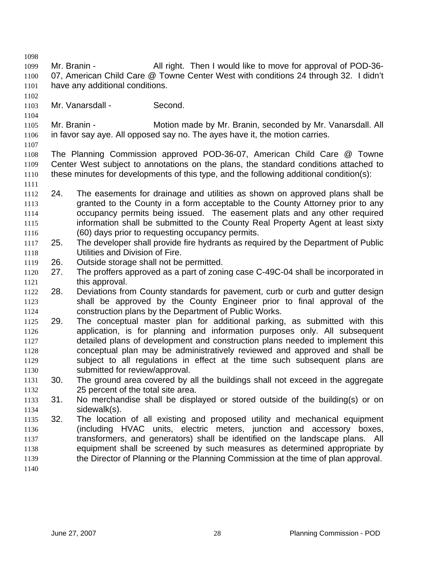1098

1099 1100 1101 Mr. Branin - All right. Then I would like to move for approval of POD-36-07, American Child Care @ Towne Center West with conditions 24 through 32. I didn't have any additional conditions.

1102 1103

1104

Mr. Vanarsdall - Second.

1105 1106 Mr. Branin - **Motion made by Mr. Branin, seconded by Mr. Vanarsdall. All** in favor say aye. All opposed say no. The ayes have it, the motion carries.

1107

1111

1108 1109 1110 The Planning Commission approved POD-36-07, American Child Care @ Towne Center West subject to annotations on the plans, the standard conditions attached to these minutes for developments of this type, and the following additional condition(s):

- 1112 1113 1114 1115 1116 24. The easements for drainage and utilities as shown on approved plans shall be granted to the County in a form acceptable to the County Attorney prior to any occupancy permits being issued. The easement plats and any other required information shall be submitted to the County Real Property Agent at least sixty (60) days prior to requesting occupancy permits.
- 1117 1118 25. The developer shall provide fire hydrants as required by the Department of Public Utilities and Division of Fire.
- 1119 26. Outside storage shall not be permitted.
- 1120 1121 27. The proffers approved as a part of zoning case C-49C-04 shall be incorporated in this approval.
- 1122 1123 1124 28. Deviations from County standards for pavement, curb or curb and gutter design shall be approved by the County Engineer prior to final approval of the construction plans by the Department of Public Works.
- 1125 1126 1127 1128 1129 1130 29. The conceptual master plan for additional parking, as submitted with this application, is for planning and information purposes only. All subsequent detailed plans of development and construction plans needed to implement this conceptual plan may be administratively reviewed and approved and shall be subject to all regulations in effect at the time such subsequent plans are submitted for review/approval.
- 1131 1132 30. The ground area covered by all the buildings shall not exceed in the aggregate 25 percent of the total site area.
- 1133 1134 31. No merchandise shall be displayed or stored outside of the building(s) or on sidewalk(s).
- 1135 1136 1137 1138 1139 32. The location of all existing and proposed utility and mechanical equipment (including HVAC units, electric meters, junction and accessory boxes, transformers, and generators) shall be identified on the landscape plans. All equipment shall be screened by such measures as determined appropriate by the Director of Planning or the Planning Commission at the time of plan approval.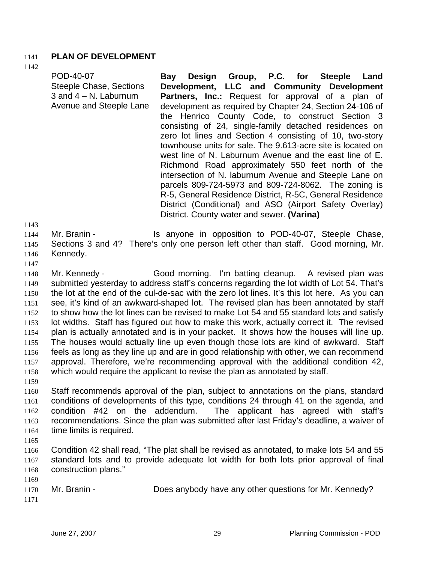## 1141 **PLAN OF DEVELOPMENT**

1142

|  | POD-40-07<br><b>Steeple Chase, Sections</b><br>3 and $4 - N$ . Laburnum<br>Avenue and Steeple Lane | Bay Design Group, P.C. for Steeple Land<br>Development, LLC and Community Development<br><b>Partners, Inc.:</b> Request for approval of a plan of<br>development as required by Chapter 24, Section 24-106 of<br>the Henrico County Code, to construct Section 3<br>consisting of 24, single-family detached residences on<br>zero lot lines and Section 4 consisting of 10, two-story<br>townhouse units for sale. The 9.613-acre site is located on<br>west line of N. Laburnum Avenue and the east line of E.<br>Richmond Road approximately 550 feet north of the<br>intersection of N. laburnum Avenue and Steeple Lane on<br>parcels 809-724-5973 and 809-724-8062. The zoning is<br>R-5, General Residence District, R-5C, General Residence<br>District (Conditional) and ASO (Airport Safety Overlay)<br>District. County water and sewer. (Varina) |
|--|----------------------------------------------------------------------------------------------------|--------------------------------------------------------------------------------------------------------------------------------------------------------------------------------------------------------------------------------------------------------------------------------------------------------------------------------------------------------------------------------------------------------------------------------------------------------------------------------------------------------------------------------------------------------------------------------------------------------------------------------------------------------------------------------------------------------------------------------------------------------------------------------------------------------------------------------------------------------------|
|--|----------------------------------------------------------------------------------------------------|--------------------------------------------------------------------------------------------------------------------------------------------------------------------------------------------------------------------------------------------------------------------------------------------------------------------------------------------------------------------------------------------------------------------------------------------------------------------------------------------------------------------------------------------------------------------------------------------------------------------------------------------------------------------------------------------------------------------------------------------------------------------------------------------------------------------------------------------------------------|

1144 1145 1146 Mr. Branin - The Standard Standard Standard Is anyone in opposition to POD-40-07, Steeple Chase, Sections 3 and 4? There's only one person left other than staff. Good morning, Mr. Kennedy.

1147

1143

1148 1149 1150 1151 1152 1153 1154 1155 1156 1157 1158 Mr. Kennedy - Good morning. I'm batting cleanup. A revised plan was submitted yesterday to address staff's concerns regarding the lot width of Lot 54. That's the lot at the end of the cul-de-sac with the zero lot lines. It's this lot here. As you can see, it's kind of an awkward-shaped lot. The revised plan has been annotated by staff to show how the lot lines can be revised to make Lot 54 and 55 standard lots and satisfy lot widths. Staff has figured out how to make this work, actually correct it. The revised plan is actually annotated and is in your packet. It shows how the houses will line up. The houses would actually line up even though those lots are kind of awkward. Staff feels as long as they line up and are in good relationship with other, we can recommend approval. Therefore, we're recommending approval with the additional condition 42, which would require the applicant to revise the plan as annotated by staff.

1159

1160 1161 1162 1163 1164 Staff recommends approval of the plan, subject to annotations on the plans, standard conditions of developments of this type, conditions 24 through 41 on the agenda, and condition #42 on the addendum. The applicant has agreed with staff's recommendations. Since the plan was submitted after last Friday's deadline, a waiver of time limits is required.

1165

1169

1166 1167 1168 Condition 42 shall read, "The plat shall be revised as annotated, to make lots 54 and 55 standard lots and to provide adequate lot width for both lots prior approval of final construction plans."

1170 1171 Mr. Branin - Does anybody have any other questions for Mr. Kennedy?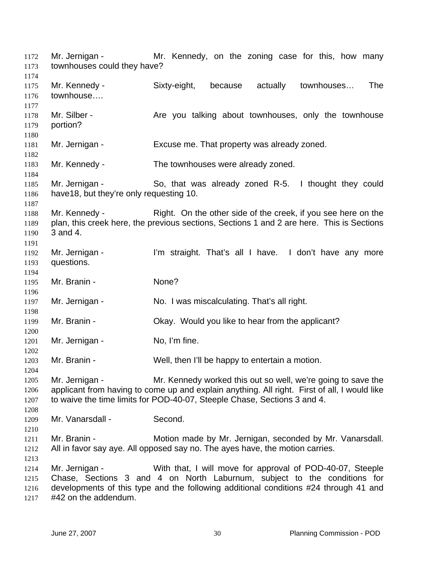Mr. Jernigan - The Mr. Kennedy, on the zoning case for this, how many townhouses could they have? 1172 1173 1174 1175 1176 1177 1178 1179 1180 1181 1182 1183 1184 1185 1186 1187 1188 1189 1190 1191 1192 1193 1194 1195 1196 1197 1198 1199 1200 1201 1202 1203 1204 1205 1206 1207 1208 1209 1210 1211 1212 1213 1214 1215 1216 1217 Mr. Kennedy - Sixty-eight, because actually townhouses… The townhouse…. Mr. Silber - The Are you talking about townhouses, only the townhouse portion? Mr. Jernigan - Excuse me. That property was already zoned. Mr. Kennedy - The townhouses were already zoned. Mr. Jernigan - So, that was already zoned R-5. I thought they could have18, but they're only requesting 10. Mr. Kennedy - Right. On the other side of the creek, if you see here on the plan, this creek here, the previous sections, Sections 1 and 2 are here. This is Sections 3 and 4. Mr. Jernigan - I'm straight. That's all I have. I don't have any more questions. Mr. Branin - None? Mr. Jernigan - No. I was miscalculating. That's all right. Mr. Branin - Chay. Would you like to hear from the applicant? Mr. Jernigan - No, I'm fine. Mr. Branin - Well, then I'll be happy to entertain a motion. Mr. Jernigan - Mr. Kennedy worked this out so well, we're going to save the applicant from having to come up and explain anything. All right. First of all, I would like to waive the time limits for POD-40-07, Steeple Chase, Sections 3 and 4. Mr. Vanarsdall - Second. Mr. Branin - **Motion made by Mr. Jernigan, seconded by Mr. Vanarsdall.** All in favor say aye. All opposed say no. The ayes have, the motion carries. Mr. Jernigan - With that, I will move for approval of POD-40-07, Steeple Chase, Sections 3 and 4 on North Laburnum, subject to the conditions for developments of this type and the following additional conditions #24 through 41 and #42 on the addendum.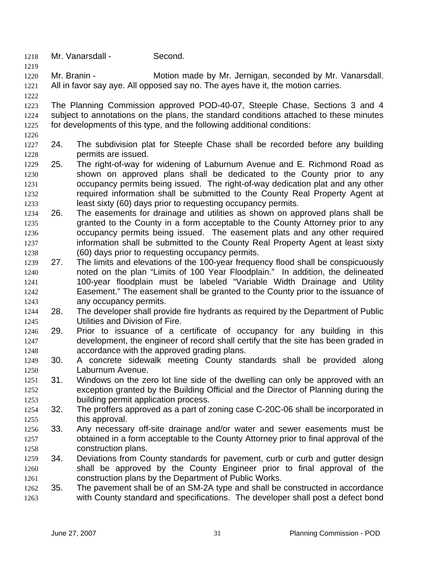- 1218 Mr. Vanarsdall Second.
- 1220 1221 Mr. Branin - **Motion made by Mr. Jernigan, seconded by Mr. Vanarsdall.** All in favor say aye. All opposed say no. The ayes have it, the motion carries.
- 1222

1226

1219

1223 1224 1225 The Planning Commission approved POD-40-07, Steeple Chase, Sections 3 and 4 subject to annotations on the plans, the standard conditions attached to these minutes for developments of this type, and the following additional conditions:

- 1227 1228 24. The subdivision plat for Steeple Chase shall be recorded before any building permits are issued.
- 1229 1230 1231 1232 1233 25. The right-of-way for widening of Laburnum Avenue and E. Richmond Road as shown on approved plans shall be dedicated to the County prior to any occupancy permits being issued. The right-of-way dedication plat and any other required information shall be submitted to the County Real Property Agent at least sixty (60) days prior to requesting occupancy permits.
- 1234 1235 1236 1237 1238 26. The easements for drainage and utilities as shown on approved plans shall be granted to the County in a form acceptable to the County Attorney prior to any occupancy permits being issued. The easement plats and any other required information shall be submitted to the County Real Property Agent at least sixty (60) days prior to requesting occupancy permits.
- 1239 1240 1241 1242 1243 27. The limits and elevations of the 100-year frequency flood shall be conspicuously noted on the plan "Limits of 100 Year Floodplain." In addition, the delineated 100-year floodplain must be labeled "Variable Width Drainage and Utility Easement." The easement shall be granted to the County prior to the issuance of any occupancy permits.
- 1244 1245 28. The developer shall provide fire hydrants as required by the Department of Public Utilities and Division of Fire.
- 1246 1247 1248 29. Prior to issuance of a certificate of occupancy for any building in this development, the engineer of record shall certify that the site has been graded in accordance with the approved grading plans.
- 1249 1250 30. A concrete sidewalk meeting County standards shall be provided along Laburnum Avenue.
- 1251 1252 1253 31. Windows on the zero lot line side of the dwelling can only be approved with an exception granted by the Building Official and the Director of Planning during the building permit application process.
- 1254 1255 32. The proffers approved as a part of zoning case C-20C-06 shall be incorporated in this approval.
- 1256 1257 1258 33. Any necessary off-site drainage and/or water and sewer easements must be obtained in a form acceptable to the County Attorney prior to final approval of the construction plans.
- 1259 1260 1261 34. Deviations from County standards for pavement, curb or curb and gutter design shall be approved by the County Engineer prior to final approval of the construction plans by the Department of Public Works.
- 1262 1263 35. The pavement shall be of an SM-2A type and shall be constructed in accordance with County standard and specifications. The developer shall post a defect bond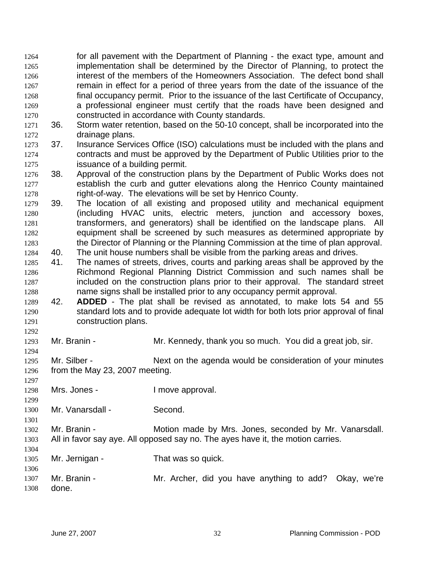for all pavement with the Department of Planning - the exact type, amount and implementation shall be determined by the Director of Planning, to protect the interest of the members of the Homeowners Association. The defect bond shall remain in effect for a period of three years from the date of the issuance of the final occupancy permit. Prior to the issuance of the last Certificate of Occupancy, a professional engineer must certify that the roads have been designed and constructed in accordance with County standards. 1264 1265 1266 1267 1268 1269 1270

- 1271 1272 36. Storm water retention, based on the 50-10 concept, shall be incorporated into the drainage plans.
- 1273 1274 1275 37. Insurance Services Office (ISO) calculations must be included with the plans and contracts and must be approved by the Department of Public Utilities prior to the issuance of a building permit.
- 1276 1277 1278 38. Approval of the construction plans by the Department of Public Works does not establish the curb and gutter elevations along the Henrico County maintained right-of-way. The elevations will be set by Henrico County.
- 1279 1280 1281 1282 1283 39. The location of all existing and proposed utility and mechanical equipment (including HVAC units, electric meters, junction and accessory boxes, transformers, and generators) shall be identified on the landscape plans. All equipment shall be screened by such measures as determined appropriate by the Director of Planning or the Planning Commission at the time of plan approval.
- 1284 40. The unit house numbers shall be visible from the parking areas and drives.
- 1285 1286 1287 1288 41. The names of streets, drives, courts and parking areas shall be approved by the Richmond Regional Planning District Commission and such names shall be included on the construction plans prior to their approval. The standard street name signs shall be installed prior to any occupancy permit approval.
- 1289 1290 1291 42. **ADDED** - The plat shall be revised as annotated, to make lots 54 and 55 standard lots and to provide adequate lot width for both lots prior approval of final construction plans.
- 1293 Mr. Branin - **Mr. Kennedy, thank you so much.** You did a great job, sir.
- 1295 1296 Mr. Silber - Next on the agenda would be consideration of your minutes from the May 23, 2007 meeting.
- 1298 Mrs. Jones - The Mrs. Dones - The Mrs. 2016.
- 1300 Mr. Vanarsdall - Second.
- 1302 1303 Mr. Branin - Motion made by Mrs. Jones, seconded by Mr. Vanarsdall. All in favor say aye. All opposed say no. The ayes have it, the motion carries.
- 1305 Mr. Jernigan - That was so quick.
- 1306 1307 1308 Mr. Branin - **Mr. Archer, did you have anything to add?** Okay, we're done.

1292

1294

1297

1299

1301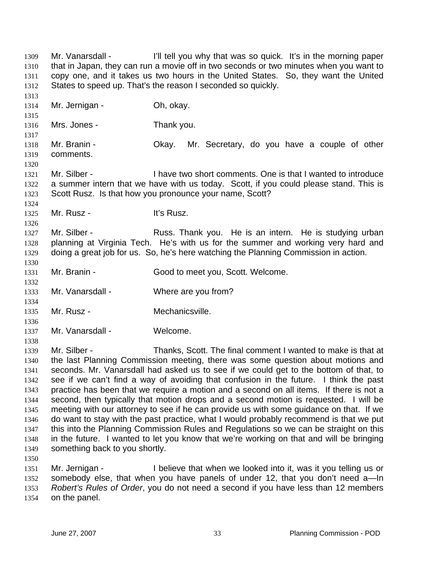Mr. Vanarsdall - I'll tell you why that was so quick. It's in the morning paper that in Japan, they can run a movie off in two seconds or two minutes when you want to copy one, and it takes us two hours in the United States. So, they want the United States to speed up. That's the reason I seconded so quickly. 1309 1310 1311 1312 1313 1314 1315 1316 1317 1318 1319 1320 1321 1322 1323 1324 1325 1326 1327 1328 1329 1330 1331 1332 1333 1334 1335 1336 1337 1338 1339 1340 1341 1342 1343 1344 1345 1346 1347 1348 1349 1350 1351 1352 1353 Mr. Jernigan - Oh, okay. Mrs. Jones - Thank you. Mr. Branin - Ckay. Mr. Secretary, do you have a couple of other comments. Mr. Silber - The Super State I have two short comments. One is that I wanted to introduce a summer intern that we have with us today. Scott, if you could please stand. This is Scott Rusz. Is that how you pronounce your name, Scott? Mr. Rusz - **It's Rusz.** Mr. Silber - Russ. Thank you. He is an intern. He is studying urban planning at Virginia Tech. He's with us for the summer and working very hard and doing a great job for us. So, he's here watching the Planning Commission in action. Mr. Branin - Good to meet you, Scott. Welcome. Mr. Vanarsdall - Where are you from? Mr. Rusz - **Mechanicsville**. Mr. Vanarsdall - Welcome. Mr. Silber - Thanks, Scott. The final comment I wanted to make is that at the last Planning Commission meeting, there was some question about motions and seconds. Mr. Vanarsdall had asked us to see if we could get to the bottom of that, to see if we can't find a way of avoiding that confusion in the future. I think the past practice has been that we require a motion and a second on all items. If there is not a second, then typically that motion drops and a second motion is requested. I will be meeting with our attorney to see if he can provide us with some guidance on that. If we do want to stay with the past practice, what I would probably recommend is that we put this into the Planning Commission Rules and Regulations so we can be straight on this in the future. I wanted to let you know that we're working on that and will be bringing something back to you shortly. Mr. Jernigan - I believe that when we looked into it, was it you telling us or somebody else, that when you have panels of under 12, that you don't need a—In *Robert's Rules of Order*, you do not need a second if you have less than 12 members

1354 on the panel.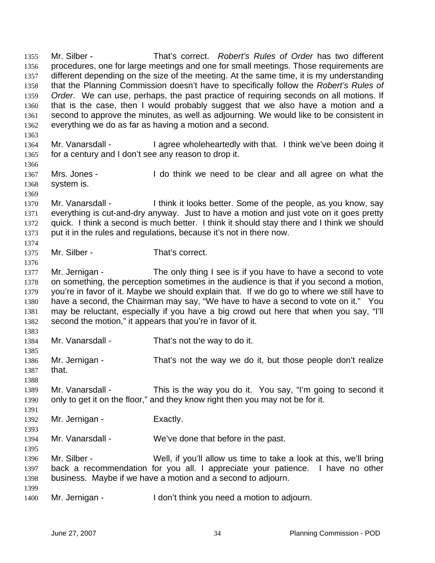Mr. Silber - That's correct. *Robert's Rules of Order* has two different procedures, one for large meetings and one for small meetings. Those requirements are different depending on the size of the meeting. At the same time, it is my understanding that the Planning Commission doesn't have to specifically follow the *Robert's Rules of Order*. We can use, perhaps, the past practice of requiring seconds on all motions. If that is the case, then I would probably suggest that we also have a motion and a second to approve the minutes, as well as adjourning. We would like to be consistent in everything we do as far as having a motion and a second. 1355 1356 1357 1358 1359 1360 1361 1362 1363

- 1364 1365 Mr. Vanarsdall - I agree wholeheartedly with that. I think we've been doing it for a century and I don't see any reason to drop it.
- 1367 1368 Mrs. Jones - I do think we need to be clear and all agree on what the system is.
- 1370 1371 1372 1373 Mr. Vanarsdall - I think it looks better. Some of the people, as you know, say everything is cut-and-dry anyway. Just to have a motion and just vote on it goes pretty quick. I think a second is much better. I think it should stay there and I think we should put it in the rules and regulations, because it's not in there now.
- 1374 1375 Mr. Silber - That's correct.
- 1377 1378 1379 1380 1381 1382 Mr. Jernigan - The only thing I see is if you have to have a second to vote on something, the perception sometimes in the audience is that if you second a motion, you're in favor of it. Maybe we should explain that. If we do go to where we still have to have a second, the Chairman may say, "We have to have a second to vote on it." You may be reluctant, especially if you have a big crowd out here that when you say, "I'll second the motion," it appears that you're in favor of it.
- 1384 Mr. Vanarsdall - That's not the way to do it.
- 1385 1386 1387 Mr. Jernigan - That's not the way we do it, but those people don't realize that.
- 1388 1389 1390 Mr. Vanarsdall - This is the way you do it. You say, "I'm going to second it only to get it on the floor," and they know right then you may not be for it.
- 1392 Mr. Jernigan - Exactly.
- 1394 Mr. Vanarsdall - We've done that before in the past.
- 1396 1397 1398 Mr. Silber - Well, if you'll allow us time to take a look at this, we'll bring back a recommendation for you all. I appreciate your patience. I have no other business. Maybe if we have a motion and a second to adjourn.
- 1399

1366

1369

1376

1383

1391

1393

1395

1400 Mr. Jernigan - I don't think you need a motion to adjourn.